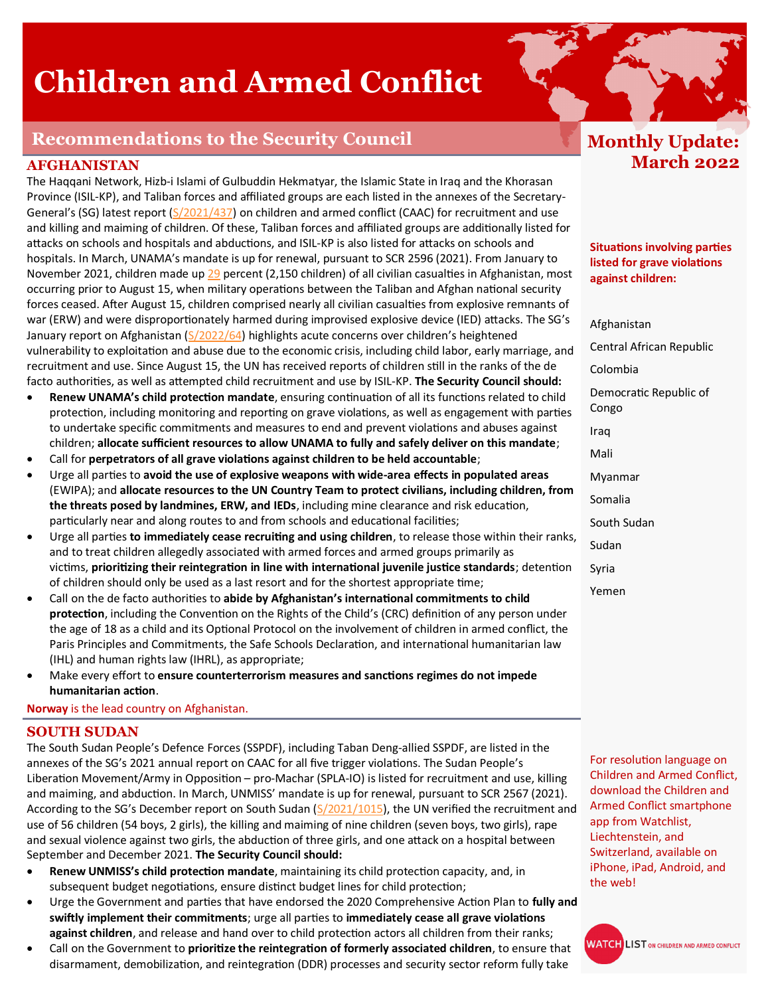# **Children and Armed Conflict**

# **Recommendations to the Security Council**

## **AFGHANISTAN**

The Haqqani Network, Hizb-i Islami of Gulbuddin Hekmatyar, the Islamic State in Iraq and the Khorasan Province (ISIL-KP), and Taliban forces and affiliated groups are each listed in the annexes of the Secretary-General's (SG) latest report ([S/2021/437\)](https://undocs.org/S/2021/437) on children and armed conflict (CAAC) for recruitment and use and killing and maiming of children. Of these, Taliban forces and affiliated groups are additionally listed for attacks on schools and hospitals and abductions, and ISIL-KP is also listed for attacks on schools and hospitals. In March, UNAMA's mandate is up for renewal, pursuant to SCR 2596 (2021). From January to November 2021, children made up [29](https://undocs.org/A/HRC/49/90) percent (2,150 children) of all civilian casualties in Afghanistan, most occurring prior to August 15, when military operations between the Taliban and Afghan national security forces ceased. After August 15, children comprised nearly all civilian casualties from explosive remnants of war (ERW) and were disproportionately harmed during improvised explosive device (IED) attacks. The SG's January report on Afghanistan ([S/2022/64\)](https://undocs.org/S/2022/64) highlights acute concerns over children's heightened vulnerability to exploitation and abuse due to the economic crisis, including child labor, early marriage, and recruitment and use. Since August 15, the UN has received reports of children still in the ranks of the de facto authorities, as well as attempted child recruitment and use by ISIL-KP. **The Security Council should:**

- **Renew UNAMA's child protection mandate**, ensuring continuation of all its functions related to child protection, including monitoring and reporting on grave violations, as well as engagement with parties to undertake specific commitments and measures to end and prevent violations and abuses against children; **allocate sufficient resources to allow UNAMA to fully and safely deliver on this mandate**;
- Call for **perpetrators of all grave violations against children to be held accountable**;
- Urge all parties to **avoid the use of explosive weapons with wide-area effects in populated areas** (EWIPA); and **allocate resources to the UN Country Team to protect civilians, including children, from the threats posed by landmines, ERW, and IEDs**, including mine clearance and risk education, particularly near and along routes to and from schools and educational facilities;
- Urge all parties **to immediately cease recruiting and using children**, to release those within their ranks, and to treat children allegedly associated with armed forces and armed groups primarily as victims, **prioritizing their reintegration in line with international juvenile justice standards**; detention of children should only be used as a last resort and for the shortest appropriate time;
- Call on the de facto authorities to **abide by Afghanistan's international commitments to child protection**, including the Convention on the Rights of the Child's (CRC) definition of any person under the age of 18 as a child and its Optional Protocol on the involvement of children in armed conflict, the Paris Principles and Commitments, the Safe Schools Declaration, and international humanitarian law (IHL) and human rights law (IHRL), as appropriate;
- Make every effort to **ensure counterterrorism measures and sanctions regimes do not impede humanitarian action**.

#### **Norway** is the lead country on Afghanistan.

#### **SOUTH SUDAN**

The South Sudan People's Defence Forces (SSPDF), including Taban Deng-allied SSPDF, are listed in the annexes of the SG's 2021 annual report on CAAC for all five trigger violations. The Sudan People's Liberation Movement/Army in Opposition – pro-Machar (SPLA-IO) is listed for recruitment and use, killing and maiming, and abduction. In March, UNMISS' mandate is up for renewal, pursuant to SCR 2567 (2021). According to the SG's December report on South Sudan ( $S/2021/1015$ ), the UN verified the recruitment and use of 56 children (54 boys, 2 girls), the killing and maiming of nine children (seven boys, two girls), rape and sexual violence against two girls, the abduction of three girls, and one attack on a hospital between September and December 2021. **The Security Council should:**

- **Renew UNMISS's child protection mandate**, maintaining its child protection capacity, and, in subsequent budget negotiations, ensure distinct budget lines for child protection;
- Urge the Government and parties that have endorsed the 2020 Comprehensive Action Plan to **fully and swiftly implement their commitments**; urge all parties to **immediately cease all grave violations against children**, and release and hand over to child protection actors all children from their ranks;
- Call on the Government to **prioritize the reintegration of formerly associated children**, to ensure that disarmament, demobilization, and reintegration (DDR) processes and security sector reform fully take

# **Monthly Update: March 2022**

**Situations involving parties listed for grave violations against children:** 

Afghanistan Central African Republic Colombia Democratic Republic of Congo Iraq Mali Myanmar Somalia South Sudan Sudan Syria Yemen

For resolution language on Children and Armed Conflict, download the Children and Armed Conflict smartphone app from Watchlist, Liechtenstein, and Switzerland, available on iPhone, iPad, Android, and the web!